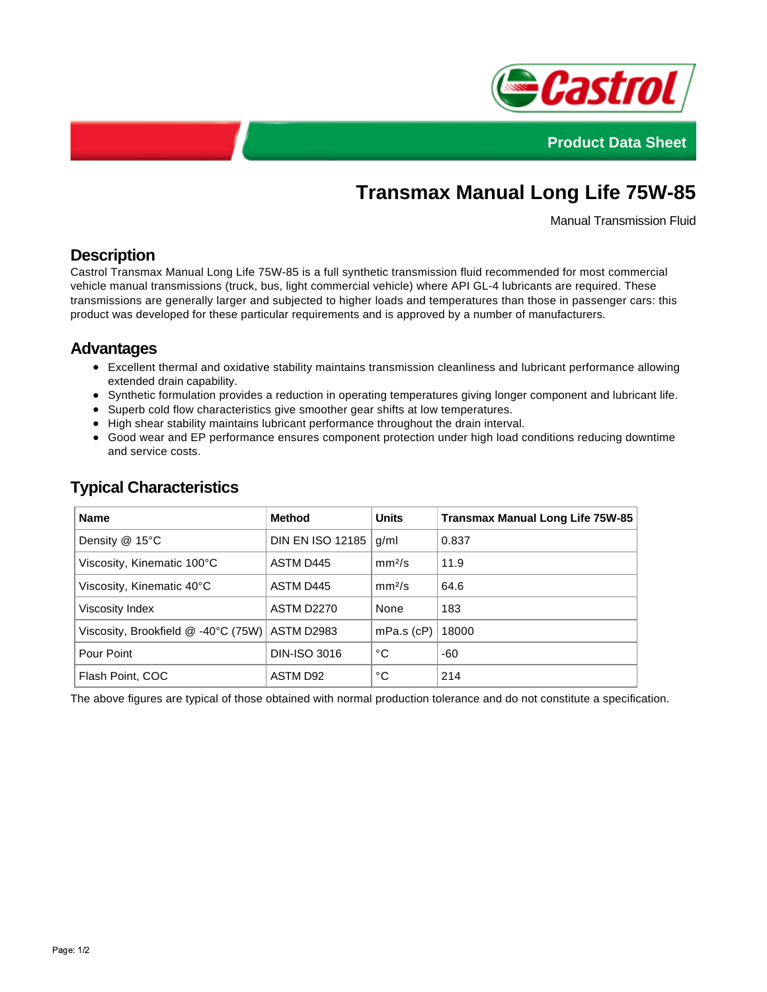



# **Transmax Manual Long Life 75W-85**

Manual Transmission Fluid

### **Description**

Castrol Transmax Manual Long Life 75W-85 is a full synthetic transmission fluid recommended for most commercial vehicle manual transmissions (truck, bus, light commercial vehicle) where API GL-4 lubricants are required. These transmissions are generally larger and subjected to higher loads and temperatures than those in passenger cars: this product was developed for these particular requirements and is approved by a number of manufacturers.

#### **Advantages**

- Excellent thermal and oxidative stability maintains transmission cleanliness and lubricant performance allowing extended drain capability.
- Synthetic formulation provides a reduction in operating temperatures giving longer component and lubricant life.
- Superb cold flow characteristics give smoother gear shifts at low temperatures.
- High shear stability maintains lubricant performance throughout the drain interval.
- Good wear and EP performance ensures component protection under high load conditions reducing downtime and service costs.

| <b>Name</b>                         | Method                  | <b>Units</b>       | <b>Transmax Manual Long Life 75W-85</b> |
|-------------------------------------|-------------------------|--------------------|-----------------------------------------|
| Density $@$ 15°C                    | <b>DIN EN ISO 12185</b> | g/ml               | 0.837                                   |
| Viscosity, Kinematic 100°C          | ASTM D445               | mm <sup>2</sup> /s | 11.9                                    |
| Viscosity, Kinematic 40°C           | ASTM D445               | mm <sup>2</sup> /s | 64.6                                    |
| Viscosity Index                     | <b>ASTM D2270</b>       | None               | 183                                     |
| Viscosity, Brookfield @ -40°C (75W) | ASTM D2983              | $mPa.s$ (cP)       | 18000                                   |
| Pour Point                          | <b>DIN-ISO 3016</b>     | °C                 | -60                                     |
| Flash Point, COC                    | ASTM D92                | °C                 | 214                                     |

## **Typical Characteristics**

The above figures are typical of those obtained with normal production tolerance and do not constitute a specification.